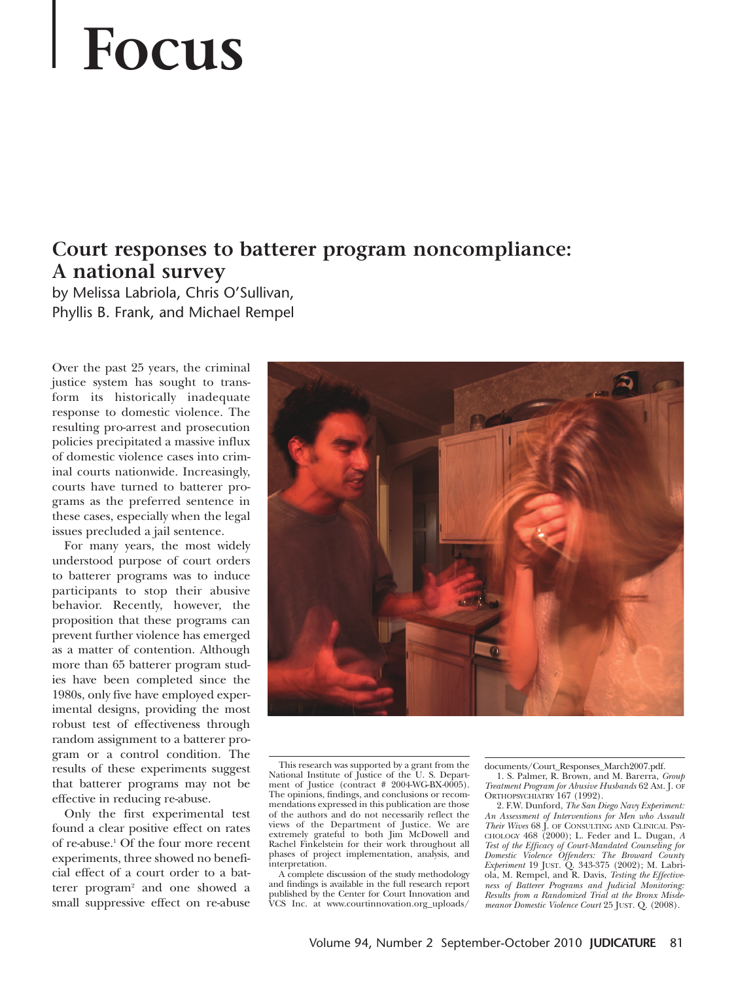# **Focus**

# **Court responses to batterer program noncompliance: A national survey**

by Melissa Labriola, Chris O'Sullivan, Phyllis B. Frank, and Michael Rempel

Over the past 25 years, the criminal justice system has sought to transform its historically inadequate response to domestic violence. The resulting pro-arrest and prosecution policies precipitated a massive influx of domestic violence cases into criminal courts nationwide. Increasingly, courts have turned to batterer programs as the preferred sentence in these cases, especially when the legal issues precluded a jail sentence.

For many years, the most widely understood purpose of court orders to batterer programs was to induce participants to stop their abusive behavior. Recently, however, the proposition that these programs can prevent further violence has emerged as a matter of contention. Although more than 65 batterer program studies have been completed since the 1980s, only five have employed experimental designs, providing the most robust test of effectiveness through random assignment to a batterer program or a control condition. The results of these experiments suggest that batterer programs may not be effective in reducing re-abuse.

Only the first experimental test found a clear positive effect on rates of re-abuse.1 Of the four more recent experiments, three showed no beneficial effect of a court order to a batterer program2 and one showed a small suppressive effect on re-abuse



This research was supported by a grant from the National Institute of Justice of the U.S. Department of Justice (contract  $# 2004-WG-BX-0005$ ). The opinions, findings, and conclusions or recommendations expressed in this publication are those of the authors and do not necessarily reflect the views of the Department of Justice. We are extremely grateful to both Jim McDowell and Rachel Finkelstein for their work throughout all phases of project implementation, analysis, and interpretation.

A complete discussion of the study methodology and findings is available in the full research report published by the Center for Court Innovation and VCS Inc. at www.courtinnovation.org\_uploads/

documents/Court\_Responses\_March2007.pdf. 1. S. Palmer, R. Brown, and M. Barerra, *Group*

*Treatment Program for Abusive Husbands* 62 AM. J. OF ORTHOPSYCHIATRY 167 (1992).

2. F.W. Dunford, *The San Diego Navy Experiment: An Assessment of Interventions for Men who Assault Their Wives* 68 J. OF CONSULTING AND CLINICAL PSY-CHOLOGY 468 (2000); L. Feder and L. Dugan, *A Test of the Efficacy of Court-Mandated Counseling for Domestic Violence Offenders: The Broward County Experiment* 19 JUST. Q. 343-375 (2002); M. Labri-ola, M. Rempel, and R. Davis, *Testing the Effectiveness of Batterer Programs and Judicial Monitoring: Results from a Randomized Trial at the Bronx Misdemeanor Domestic Violence Court* 25 JUST. Q. (2008).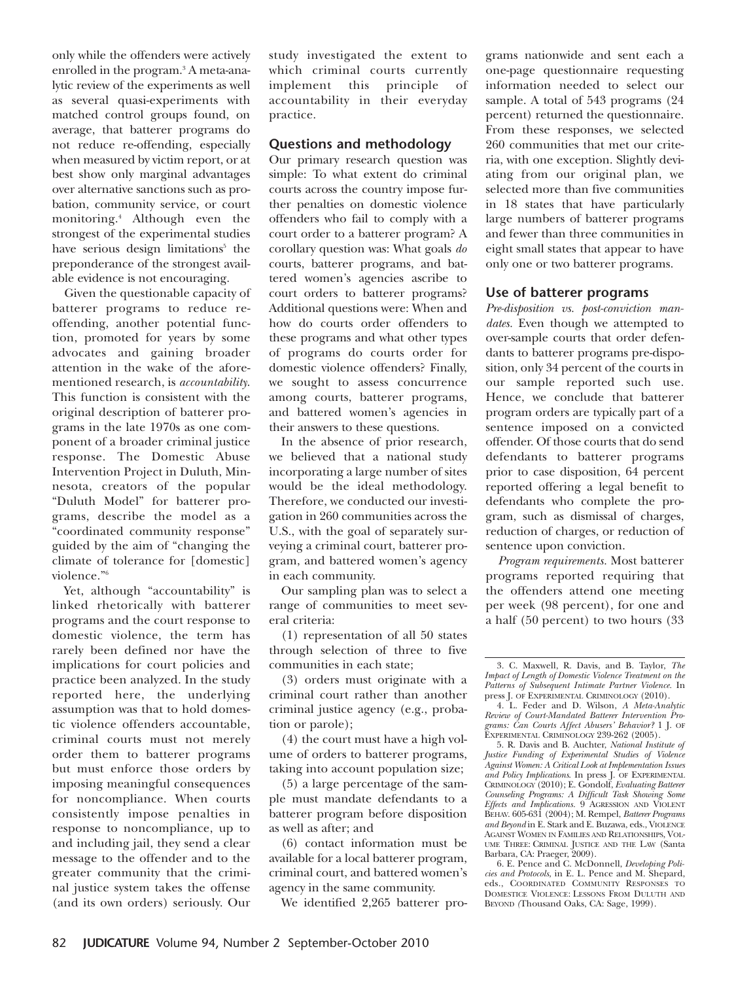only while the offenders were actively enrolled in the program.<sup>3</sup> A meta-analytic review of the experiments as well as several quasi-experiments with matched control groups found, on average, that batterer programs do not reduce re-offending, especially when measured by victim report, or at best show only marginal advantages over alternative sanctions such as probation, community service, or court monitoring.4 Although even the strongest of the experimental studies have serious design limitations<sup>5</sup> the preponderance of the strongest available evidence is not encouraging.

Given the questionable capacity of batterer programs to reduce reoffending, another potential function, promoted for years by some advocates and gaining broader attention in the wake of the aforementioned research, is *accountability*. This function is consistent with the original description of batterer programs in the late 1970s as one component of a broader criminal justice response. The Domestic Abuse Intervention Project in Duluth, Minnesota, creators of the popular "Duluth Model" for batterer programs, describe the model as a "coordinated community response" guided by the aim of "changing the climate of tolerance for [domestic] violence."6

Yet, although "accountability" is linked rhetorically with batterer programs and the court response to domestic violence, the term has rarely been defined nor have the implications for court policies and practice been analyzed. In the study reported here, the underlying assumption was that to hold domestic violence offenders accountable, criminal courts must not merely order them to batterer programs but must enforce those orders by imposing meaningful consequences for noncompliance. When courts consistently impose penalties in response to noncompliance, up to and including jail, they send a clear message to the offender and to the greater community that the criminal justice system takes the offense (and its own orders) seriously. Our

study investigated the extent to which criminal courts currently implement this principle of accountability in their everyday practice.

## **Questions and methodology**

Our primary research question was simple: To what extent do criminal courts across the country impose further penalties on domestic violence offenders who fail to comply with a court order to a batterer program? A corollary question was: What goals *do* courts, batterer programs, and battered women's agencies ascribe to court orders to batterer programs? Additional questions were: When and how do courts order offenders to these programs and what other types of programs do courts order for domestic violence offenders? Finally, we sought to assess concurrence among courts, batterer programs, and battered women's agencies in their answers to these questions.

In the absence of prior research, we believed that a national study incorporating a large number of sites would be the ideal methodology. Therefore, we conducted our investigation in 260 communities across the U.S., with the goal of separately surveying a criminal court, batterer program, and battered women's agency in each community.

Our sampling plan was to select a range of communities to meet several criteria:

(1) representation of all 50 states through selection of three to five communities in each state;

(3) orders must originate with a criminal court rather than another criminal justice agency (e.g., probation or parole);

(4) the court must have a high volume of orders to batterer programs, taking into account population size;

(5) a large percentage of the sample must mandate defendants to a batterer program before disposition as well as after; and

(6) contact information must be available for a local batterer program, criminal court, and battered women's agency in the same community.

We identified 2,265 batterer pro-

grams nationwide and sent each a one-page questionnaire requesting information needed to select our sample. A total of 543 programs (24 percent) returned the questionnaire. From these responses, we selected 260 communities that met our criteria, with one exception. Slightly deviating from our original plan, we selected more than five communities in 18 states that have particularly large numbers of batterer programs and fewer than three communities in eight small states that appear to have only one or two batterer programs.

#### **Use of batterer programs**

*Pre-disposition vs. post-conviction mandates.* Even though we attempted to over-sample courts that order defendants to batterer programs pre-disposition, only 34 percent of the courts in our sample reported such use. Hence, we conclude that batterer program orders are typically part of a sentence imposed on a convicted offender. Of those courts that do send defendants to batterer programs prior to case disposition, 64 percent reported offering a legal benefit to defendants who complete the program, such as dismissal of charges, reduction of charges, or reduction of sentence upon conviction.

*Program requirements.* Most batterer programs reported requiring that the offenders attend one meeting per week (98 percent), for one and a half (50 percent) to two hours (33

5. R. Davis and B. Auchter, *National Institute of Justice Funding of Experimental Studies of Violence Against Women: A Critical Look at Implementation Issues and Policy Implications*. In press J. OF EXPERIMENTAL CRIMINOLOGY (2010); E. Gondolf, *Evaluating Batterer Counseling Programs: A Difficult Task Showing Some Effects and Implications.* 9 AGRESSION AND VIOLENT BEHAV. 605-631 (2004); M. Rempel, *Batterer Programs and Beyond* in E. Stark and E. Buzawa, eds., VIOLENCE AGAINST WOMEN IN FAMILIES AND RELATIONSHIPS, VOL-UME THREE: CRIMINAL JUSTICE AND THE LAW (Santa Barbara, CA: Praeger, 2009).

6. E. Pence and C. McDonnell, *Developing Policies and Protocols*, in E. L. Pence and M. Shepard, eds., COORDINATED COMMUNITY RESPONSES TO DOMESTICE VIOLENCE: LESSONS FROM DULUTH AND BEYOND *(*Thousand Oaks, CA: Sage, 1999).

<sup>3.</sup> C. Maxwell, R. Davis, and B. Taylor, *The Impact of Length of Domestic Violence Treatment on the Patterns of Subsequent Intimate Partner Violence.* In press J. OF EXPERIMENTAL CRIMINOLOGY (2010).

<sup>4.</sup> L. Feder and D. Wilson, *A Meta-Analytic Review of Court-Mandated Batterer Intervention Programs: Can Courts Affect Abusers' Behavior?* 1 J. OF EXPERIMENTAL CRIMINOLOGY 239-262 (2005).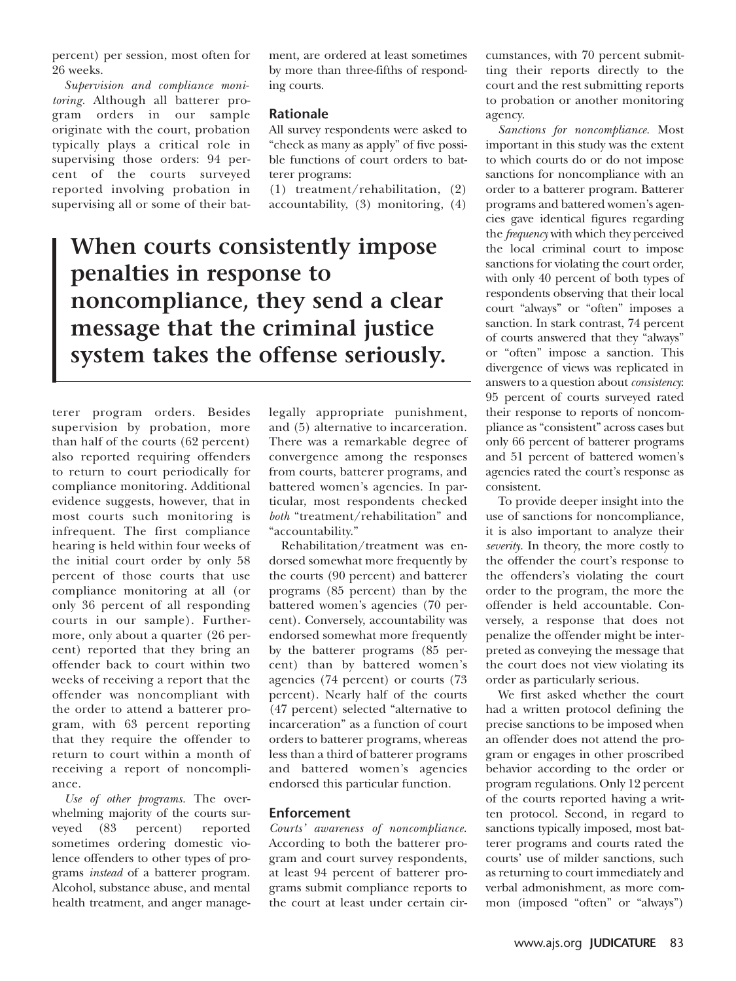percent) per session, most often for 26 weeks.

*Supervision and compliance monitoring.* Although all batterer program orders in our sample originate with the court, probation typically plays a critical role in supervising those orders: 94 percent of the courts surveyed reported involving probation in supervising all or some of their batment, are ordered at least sometimes by more than three-fifths of responding courts.

#### **Rationale**

All survey respondents were asked to "check as many as apply" of five possible functions of court orders to batterer programs:

(1) treatment/rehabilitation, (2) accountability, (3) monitoring, (4)

# **When courts consistently impose penalties in response to noncompliance, they send a clear message that the criminal justice system takes the offense seriously.**

terer program orders. Besides supervision by probation, more than half of the courts (62 percent) also reported requiring offenders to return to court periodically for compliance monitoring. Additional evidence suggests, however, that in most courts such monitoring is infrequent. The first compliance hearing is held within four weeks of the initial court order by only 58 percent of those courts that use compliance monitoring at all (or only 36 percent of all responding courts in our sample). Furthermore, only about a quarter (26 percent) reported that they bring an offender back to court within two weeks of receiving a report that the offender was noncompliant with the order to attend a batterer program, with 63 percent reporting that they require the offender to return to court within a month of receiving a report of noncompliance.

*Use of other programs.* The overwhelming majority of the courts surveyed (83 percent) reported sometimes ordering domestic violence offenders to other types of programs *instead* of a batterer program. Alcohol, substance abuse, and mental health treatment, and anger managelegally appropriate punishment, and (5) alternative to incarceration. There was a remarkable degree of convergence among the responses from courts, batterer programs, and battered women's agencies. In particular, most respondents checked *both* "treatment/rehabilitation" and "accountability."

Rehabilitation/treatment was endorsed somewhat more frequently by the courts (90 percent) and batterer programs (85 percent) than by the battered women's agencies (70 percent). Conversely, accountability was endorsed somewhat more frequently by the batterer programs (85 percent) than by battered women's agencies (74 percent) or courts (73 percent). Nearly half of the courts (47 percent) selected "alternative to incarceration" as a function of court orders to batterer programs, whereas less than a third of batterer programs and battered women's agencies endorsed this particular function.

# **Enforcement**

*Courts' awareness of noncompliance.* According to both the batterer program and court survey respondents, at least 94 percent of batterer programs submit compliance reports to the court at least under certain circumstances, with 70 percent submitting their reports directly to the court and the rest submitting reports to probation or another monitoring agency.

*Sanctions for noncompliance.* Most important in this study was the extent to which courts do or do not impose sanctions for noncompliance with an order to a batterer program. Batterer programs and battered women's agencies gave identical figures regarding the *frequency* with which they perceived the local criminal court to impose sanctions for violating the court order, with only 40 percent of both types of respondents observing that their local court "always" or "often" imposes a sanction. In stark contrast, 74 percent of courts answered that they "always" or "often" impose a sanction. This divergence of views was replicated in answers to a question about *consistency*: 95 percent of courts surveyed rated their response to reports of noncompliance as "consistent" across cases but only 66 percent of batterer programs and 51 percent of battered women's agencies rated the court's response as consistent.

To provide deeper insight into the use of sanctions for noncompliance, it is also important to analyze their *severity*. In theory, the more costly to the offender the court's response to the offenders's violating the court order to the program, the more the offender is held accountable. Conversely, a response that does not penalize the offender might be interpreted as conveying the message that the court does not view violating its order as particularly serious.

We first asked whether the court had a written protocol defining the precise sanctions to be imposed when an offender does not attend the program or engages in other proscribed behavior according to the order or program regulations. Only 12 percent of the courts reported having a written protocol. Second, in regard to sanctions typically imposed, most batterer programs and courts rated the courts' use of milder sanctions, such as returning to court immediately and verbal admonishment, as more common (imposed "often" or "always")